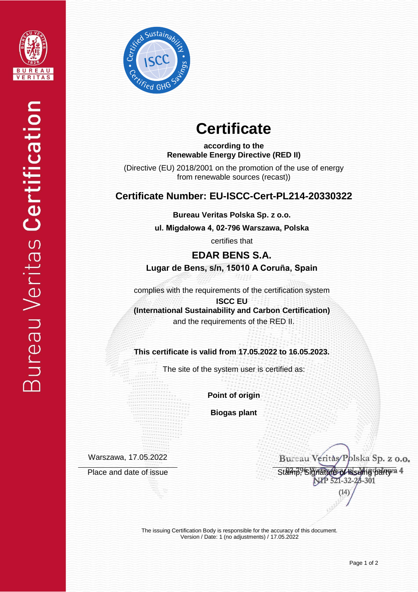



# **Certificate**

**according to the Renewable Energy Directive (RED II)**

(Directive (EU) 2018/2001 on the promotion of the use of energy from renewable sources (recast))

## **Certificate Number: EU-ISCC-Cert-PL214-20330322**

**Bureau Veritas Polska Sp. z o.o.**

**ul. Migdałowa 4, 02-796 Warszawa, Polska** 

certifies that

**EDAR BENS S.A. Lugar de Bens, s/n, 15010 A Coruña, Spain**

complies with the requirements of the certification system

**ISCC EU (International Sustainability and Carbon Certification)** and the requirements of the RED II.

**This certificate is valid from 17.05.2022 to 16.05.2023.**

The site of the system user is certified as:

**Point of origin**

**Biogas plant**

Warszawa, 17.05.2022

Bureau Veritàs/Polska Sp. z o.o. Place and date of issue<br>Stamp, Signature of issue<br>NIP 521-32-28-301

> The issuing Certification Body is responsible for the accuracy of this document. Version / Date: 1 (no adjustments) / 17.05.2022